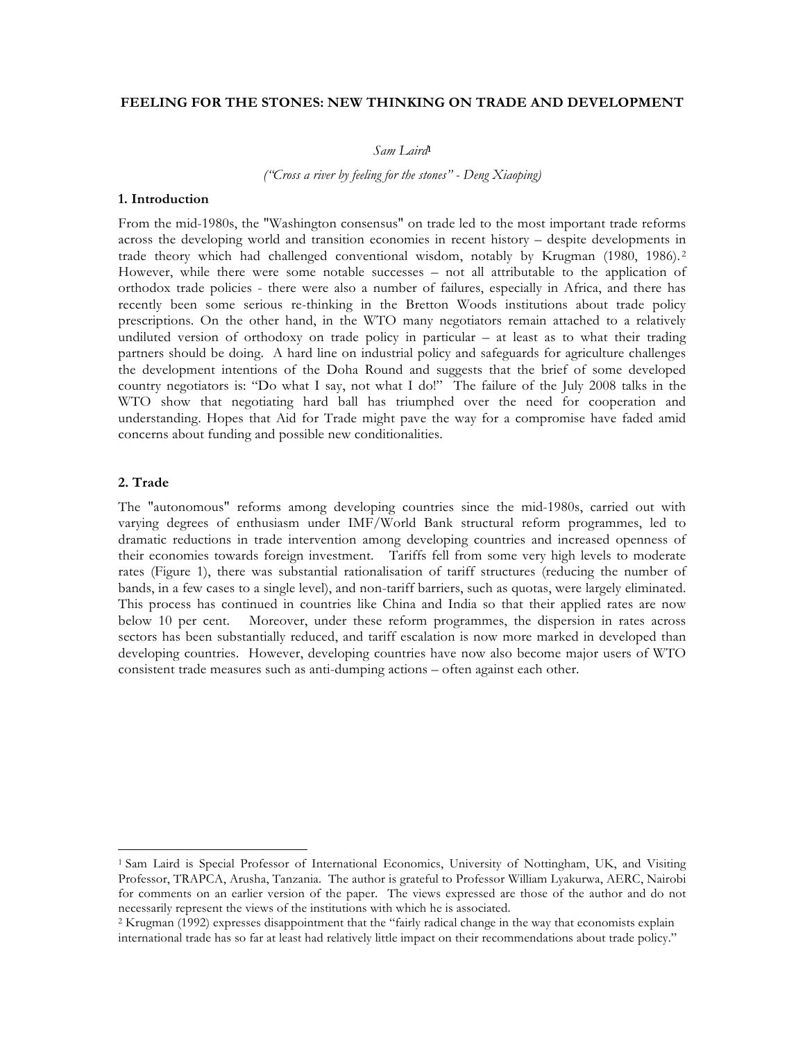# **FEELING FOR THE STONES: NEW THINKING ON TRADE AND DEVELOPMENT**

*Sam Laird***<sup>1</sup>**

*("Cross a river by feeling for the stones" - Deng Xiaoping)*

### **1. Introduction**

From the mid-1980s, the "Washington consensus" on trade led to the most important trade reforms across the developing world and transition economies in recent history – despite developments in trade theory which had challenged conventional wisdom, notably by Krugman (1980, 1986). <sup>2</sup> However, while there were some notable successes – not all attributable to the application of orthodox trade policies - there were also a number of failures, especially in Africa, and there has recently been some serious re-thinking in the Bretton Woods institutions about trade policy prescriptions. On the other hand, in the WTO many negotiators remain attached to a relatively undiluted version of orthodoxy on trade policy in particular – at least as to what their trading partners should be doing. A hard line on industrial policy and safeguards for agriculture challenges the development intentions of the Doha Round and suggests that the brief of some developed country negotiators is: "Do what I say, not what I do!" The failure of the July 2008 talks in the WTO show that negotiating hard ball has triumphed over the need for cooperation and understanding. Hopes that Aid for Trade might pave the way for a compromise have faded amid concerns about funding and possible new conditionalities.

# **2. Trade**

 $\overline{a}$ 

The "autonomous" reforms among developing countries since the mid-1980s, carried out with varying degrees of enthusiasm under IMF/World Bank structural reform programmes, led to dramatic reductions in trade intervention among developing countries and increased openness of their economies towards foreign investment. Tariffs fell from some very high levels to moderate rates (Figure 1), there was substantial rationalisation of tariff structures (reducing the number of bands, in a few cases to a single level), and non-tariff barriers, such as quotas, were largely eliminated. This process has continued in countries like China and India so that their applied rates are now below 10 per cent. Moreover, under these reform programmes, the dispersion in rates across sectors has been substantially reduced, and tariff escalation is now more marked in developed than developing countries. However, developing countries have now also become major users of WTO consistent trade measures such as anti-dumping actions – often against each other.

<sup>1</sup> Sam Laird is Special Professor of International Economics, University of Nottingham, UK, and Visiting Professor, TRAPCA, Arusha, Tanzania. The author is grateful to Professor William Lyakurwa, AERC, Nairobi for comments on an earlier version of the paper. The views expressed are those of the author and do not necessarily represent the views of the institutions with which he is associated.

<sup>2</sup> Krugman (1992) expresses disappointment that the "fairly radical change in the way that economists explain international trade has so far at least had relatively little impact on their recommendations about trade policy."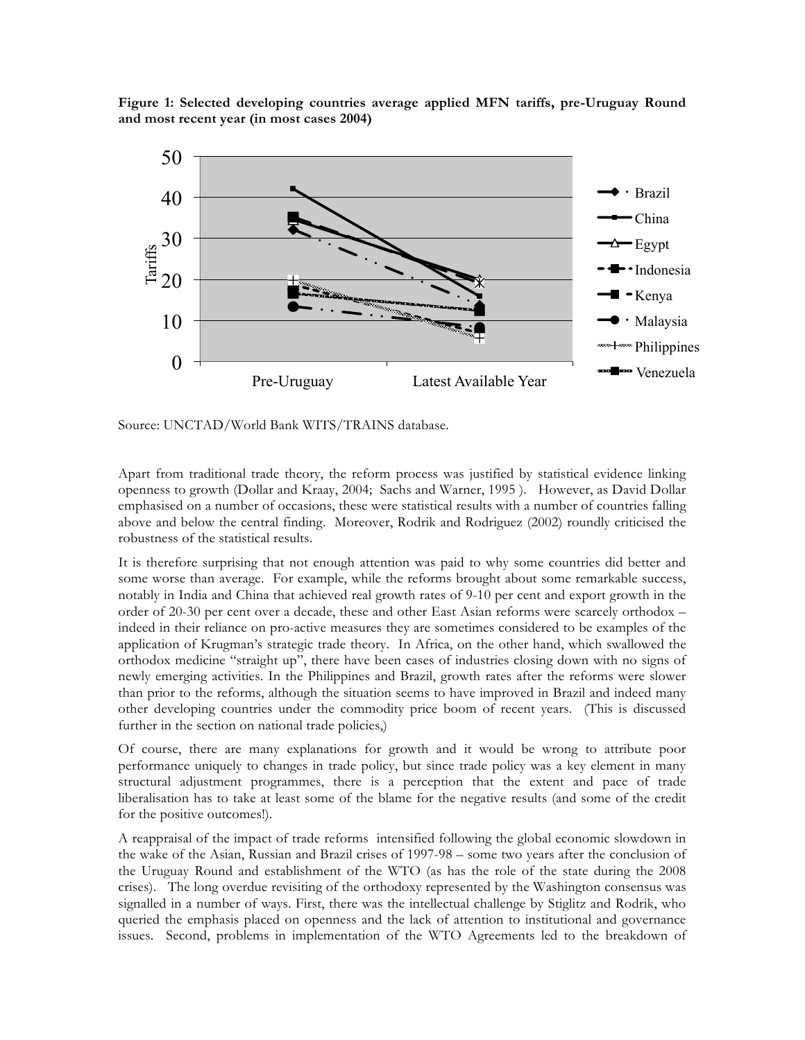**Figure 1: Selected developing countries average applied MFN tariffs, pre-Uruguay Round and most recent year (in most cases 2004)**



Source: UNCTAD/World Bank WITS/TRAINS database.

Apart from traditional trade theory, the reform process was justified by statistical evidence linking openness to growth (Dollar and Kraay, 2004; Sachs and Warner, 1995 ). However, as David Dollar emphasised on a number of occasions, these were statistical results with a number of countries falling above and below the central finding. Moreover, Rodrik and Rodriguez (2002) roundly criticised the robustness of the statistical results.

It is therefore surprising that not enough attention was paid to why some countries did better and some worse than average. For example, while the reforms brought about some remarkable success, notably in India and China that achieved real growth rates of 9-10 per cent and export growth in the order of 20-30 per cent over a decade, these and other East Asian reforms were scarcely orthodox – indeed in their reliance on pro-active measures they are sometimes considered to be examples of the application of Krugman's strategic trade theory. In Africa, on the other hand, which swallowed the orthodox medicine "straight up", there have been cases of industries closing down with no signs of newly emerging activities. In the Philippines and Brazil, growth rates after the reforms were slower than prior to the reforms, although the situation seems to have improved in Brazil and indeed many other developing countries under the commodity price boom of recent years. (This is discussed further in the section on national trade policies,)

Of course, there are many explanations for growth and it would be wrong to attribute poor performance uniquely to changes in trade policy, but since trade policy was a key element in many structural adjustment programmes, there is a perception that the extent and pace of trade liberalisation has to take at least some of the blame for the negative results (and some of the credit for the positive outcomes!).

A reappraisal of the impact of trade reforms intensified following the global economic slowdown in the wake of the Asian, Russian and Brazil crises of 1997-98 – some two years after the conclusion of the Uruguay Round and establishment of the WTO (as has the role of the state during the 2008 crises). The long overdue revisiting of the orthodoxy represented by the Washington consensus was signalled in a number of ways. First, there was the intellectual challenge by Stiglitz and Rodrik, who queried the emphasis placed on openness and the lack of attention to institutional and governance issues. Second, problems in implementation of the WTO Agreements led to the breakdown of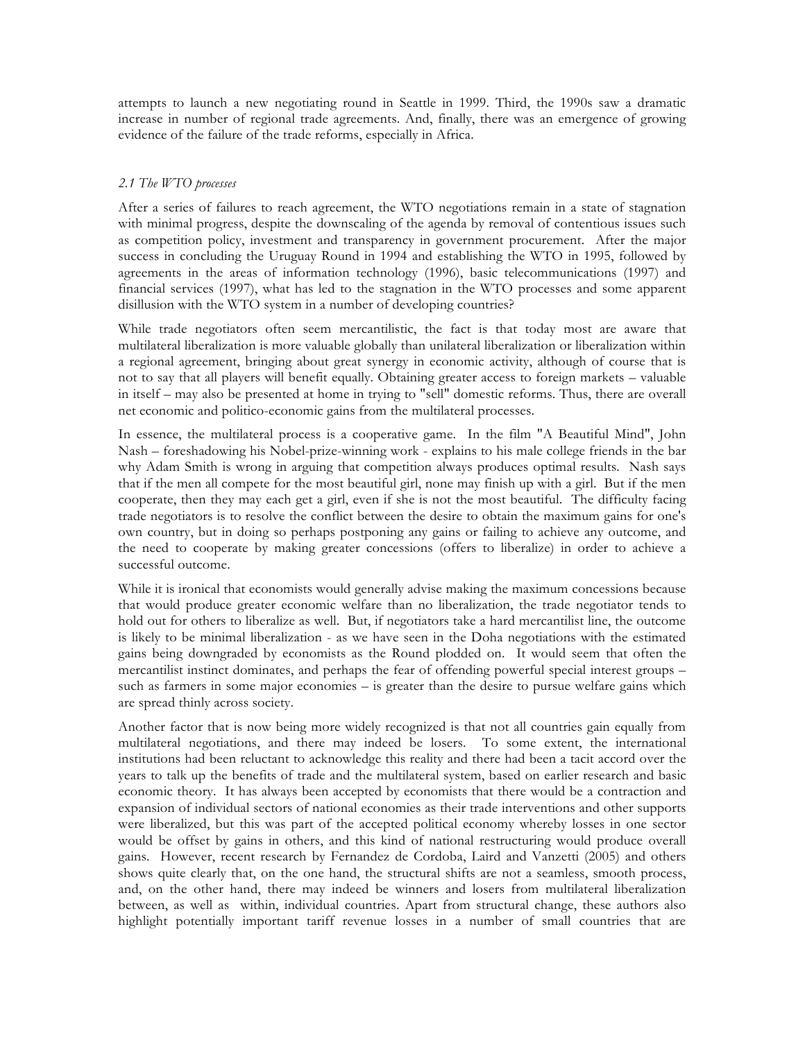attempts to launch a new negotiating round in Seattle in 1999. Third, the 1990s saw a dramatic increase in number of regional trade agreements. And, finally, there was an emergence of growing evidence of the failure of the trade reforms, especially in Africa.

# *2.1 The WTO processes*

After a series of failures to reach agreement, the WTO negotiations remain in a state of stagnation with minimal progress, despite the downscaling of the agenda by removal of contentious issues such as competition policy, investment and transparency in government procurement. After the major success in concluding the Uruguay Round in 1994 and establishing the WTO in 1995, followed by agreements in the areas of information technology (1996), basic telecommunications (1997) and financial services (1997), what has led to the stagnation in the WTO processes and some apparent disillusion with the WTO system in a number of developing countries?

While trade negotiators often seem mercantilistic, the fact is that today most are aware that multilateral liberalization is more valuable globally than unilateral liberalization or liberalization within a regional agreement, bringing about great synergy in economic activity, although of course that is not to say that all players will benefit equally. Obtaining greater access to foreign markets – valuable in itself – may also be presented at home in trying to "sell" domestic reforms. Thus, there are overall net economic and politico-economic gains from the multilateral processes.

In essence, the multilateral process is a cooperative game. In the film "A Beautiful Mind", John Nash – foreshadowing his Nobel-prize-winning work - explains to his male college friends in the bar why Adam Smith is wrong in arguing that competition always produces optimal results. Nash says that if the men all compete for the most beautiful girl, none may finish up with a girl. But if the men cooperate, then they may each get a girl, even if she is not the most beautiful. The difficulty facing trade negotiators is to resolve the conflict between the desire to obtain the maximum gains for one's own country, but in doing so perhaps postponing any gains or failing to achieve any outcome, and the need to cooperate by making greater concessions (offers to liberalize) in order to achieve a successful outcome.

While it is ironical that economists would generally advise making the maximum concessions because that would produce greater economic welfare than no liberalization, the trade negotiator tends to hold out for others to liberalize as well. But, if negotiators take a hard mercantilist line, the outcome is likely to be minimal liberalization - as we have seen in the Doha negotiations with the estimated gains being downgraded by economists as the Round plodded on. It would seem that often the mercantilist instinct dominates, and perhaps the fear of offending powerful special interest groups – such as farmers in some major economies – is greater than the desire to pursue welfare gains which are spread thinly across society.

Another factor that is now being more widely recognized is that not all countries gain equally from multilateral negotiations, and there may indeed be losers. To some extent, the international institutions had been reluctant to acknowledge this reality and there had been a tacit accord over the years to talk up the benefits of trade and the multilateral system, based on earlier research and basic economic theory. It has always been accepted by economists that there would be a contraction and expansion of individual sectors of national economies as their trade interventions and other supports were liberalized, but this was part of the accepted political economy whereby losses in one sector would be offset by gains in others, and this kind of national restructuring would produce overall gains. However, recent research by Fernandez de Cordoba, Laird and Vanzetti (2005) and others shows quite clearly that, on the one hand, the structural shifts are not a seamless, smooth process, and, on the other hand, there may indeed be winners and losers from multilateral liberalization between, as well as within, individual countries. Apart from structural change, these authors also highlight potentially important tariff revenue losses in a number of small countries that are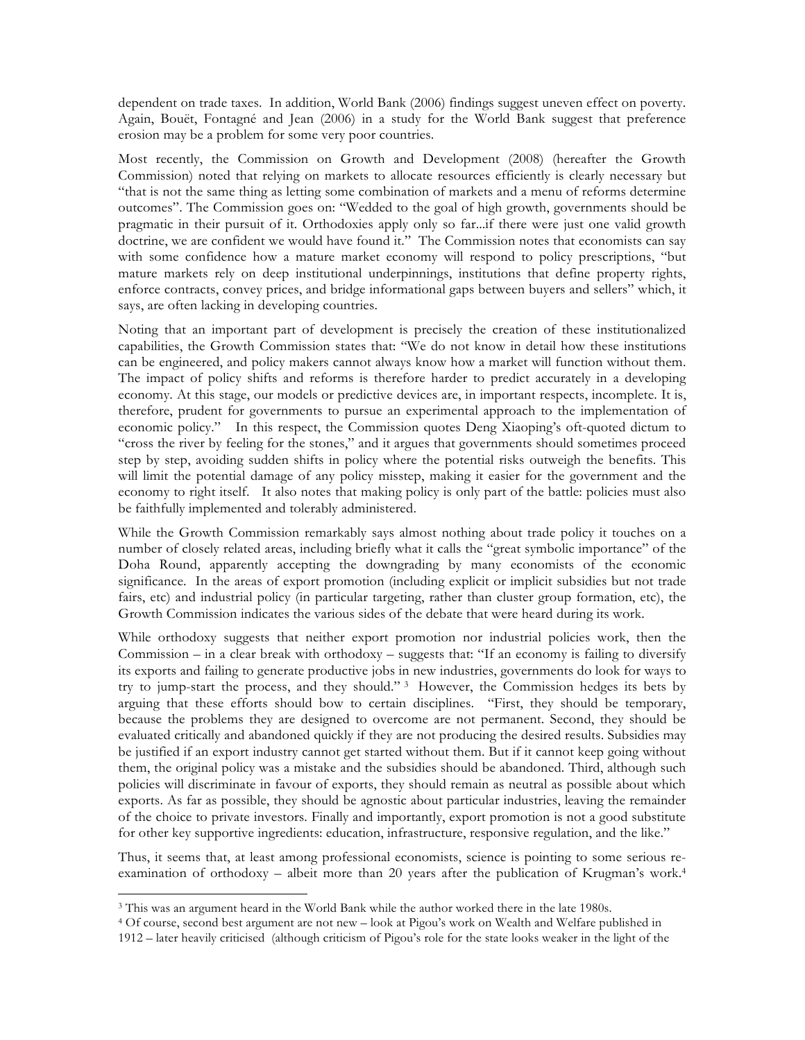dependent on trade taxes. In addition, World Bank (2006) findings suggest uneven effect on poverty. Again, Bouët, Fontagné and Jean (2006) in a study for the World Bank suggest that preference erosion may be a problem for some very poor countries.

Most recently, the Commission on Growth and Development (2008) (hereafter the Growth Commission) noted that relying on markets to allocate resources efficiently is clearly necessary but "that is not the same thing as letting some combination of markets and a menu of reforms determine outcomes". The Commission goes on: "Wedded to the goal of high growth, governments should be pragmatic in their pursuit of it. Orthodoxies apply only so far...if there were just one valid growth doctrine, we are confident we would have found it." The Commission notes that economists can say with some confidence how a mature market economy will respond to policy prescriptions, "but mature markets rely on deep institutional underpinnings, institutions that define property rights, enforce contracts, convey prices, and bridge informational gaps between buyers and sellers" which, it says, are often lacking in developing countries.

Noting that an important part of development is precisely the creation of these institutionalized capabilities, the Growth Commission states that: "We do not know in detail how these institutions can be engineered, and policy makers cannot always know how a market will function without them. The impact of policy shifts and reforms is therefore harder to predict accurately in a developing economy. At this stage, our models or predictive devices are, in important respects, incomplete. It is, therefore, prudent for governments to pursue an experimental approach to the implementation of economic policy." In this respect, the Commission quotes Deng Xiaoping's oft-quoted dictum to "cross the river by feeling for the stones," and it argues that governments should sometimes proceed step by step, avoiding sudden shifts in policy where the potential risks outweigh the benefits. This will limit the potential damage of any policy misstep, making it easier for the government and the economy to right itself. It also notes that making policy is only part of the battle: policies must also be faithfully implemented and tolerably administered.

While the Growth Commission remarkably says almost nothing about trade policy it touches on a number of closely related areas, including briefly what it calls the "great symbolic importance" of the Doha Round, apparently accepting the downgrading by many economists of the economic significance. In the areas of export promotion (including explicit or implicit subsidies but not trade fairs, etc) and industrial policy (in particular targeting, rather than cluster group formation, etc), the Growth Commission indicates the various sides of the debate that were heard during its work.

While orthodoxy suggests that neither export promotion nor industrial policies work, then the Commission – in a clear break with orthodoxy – suggests that: "If an economy is failing to diversify its exports and failing to generate productive jobs in new industries, governments do look for ways to try to jump-start the process, and they should." 3 However, the Commission hedges its bets by arguing that these efforts should bow to certain disciplines. "First, they should be temporary, because the problems they are designed to overcome are not permanent. Second, they should be evaluated critically and abandoned quickly if they are not producing the desired results. Subsidies may be justified if an export industry cannot get started without them. But if it cannot keep going without them, the original policy was a mistake and the subsidies should be abandoned. Third, although such policies will discriminate in favour of exports, they should remain as neutral as possible about which exports. As far as possible, they should be agnostic about particular industries, leaving the remainder of the choice to private investors. Finally and importantly, export promotion is not a good substitute for other key supportive ingredients: education, infrastructure, responsive regulation, and the like."

Thus, it seems that, at least among professional economists, science is pointing to some serious reexamination of orthodoxy – albeit more than 20 years after the publication of Krugman's work.4

 $\overline{a}$ 

<sup>3</sup> This was an argument heard in the World Bank while the author worked there in the late 1980s.

<sup>4</sup> Of course, second best argument are not new – look at Pigou's work on Wealth and Welfare published in

<sup>1912 –</sup> later heavily criticised (although criticism of Pigou's role for the state looks weaker in the light of the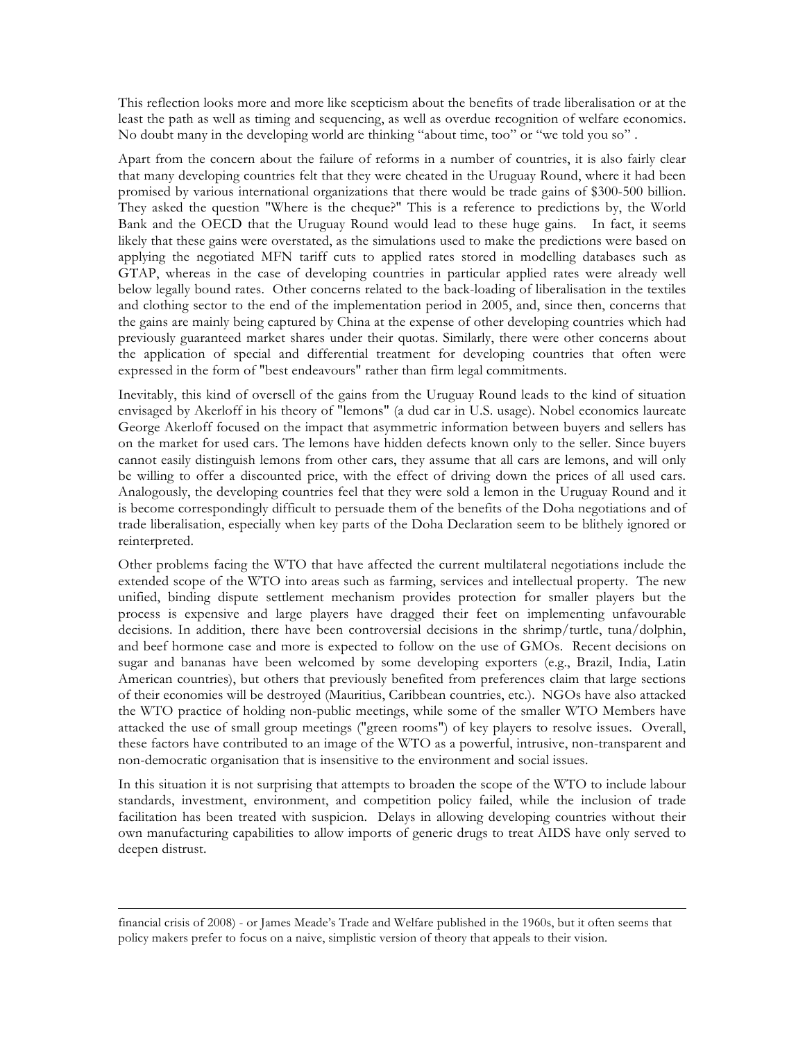This reflection looks more and more like scepticism about the benefits of trade liberalisation or at the least the path as well as timing and sequencing, as well as overdue recognition of welfare economics. No doubt many in the developing world are thinking "about time, too" or "we told you so" .

Apart from the concern about the failure of reforms in a number of countries, it is also fairly clear that many developing countries felt that they were cheated in the Uruguay Round, where it had been promised by various international organizations that there would be trade gains of \$300-500 billion. They asked the question "Where is the cheque?" This is a reference to predictions by, the World Bank and the OECD that the Uruguay Round would lead to these huge gains. In fact, it seems likely that these gains were overstated, as the simulations used to make the predictions were based on applying the negotiated MFN tariff cuts to applied rates stored in modelling databases such as GTAP, whereas in the case of developing countries in particular applied rates were already well below legally bound rates. Other concerns related to the back-loading of liberalisation in the textiles and clothing sector to the end of the implementation period in 2005, and, since then, concerns that the gains are mainly being captured by China at the expense of other developing countries which had previously guaranteed market shares under their quotas. Similarly, there were other concerns about the application of special and differential treatment for developing countries that often were expressed in the form of "best endeavours" rather than firm legal commitments.

Inevitably, this kind of oversell of the gains from the Uruguay Round leads to the kind of situation envisaged by Akerloff in his theory of "lemons" (a dud car in U.S. usage). Nobel economics laureate George Akerloff focused on the impact that asymmetric information between buyers and sellers has on the market for used cars. The lemons have hidden defects known only to the seller. Since buyers cannot easily distinguish lemons from other cars, they assume that all cars are lemons, and will only be willing to offer a discounted price, with the effect of driving down the prices of all used cars. Analogously, the developing countries feel that they were sold a lemon in the Uruguay Round and it is become correspondingly difficult to persuade them of the benefits of the Doha negotiations and of trade liberalisation, especially when key parts of the Doha Declaration seem to be blithely ignored or reinterpreted.

Other problems facing the WTO that have affected the current multilateral negotiations include the extended scope of the WTO into areas such as farming, services and intellectual property. The new unified, binding dispute settlement mechanism provides protection for smaller players but the process is expensive and large players have dragged their feet on implementing unfavourable decisions. In addition, there have been controversial decisions in the shrimp/turtle, tuna/dolphin, and beef hormone case and more is expected to follow on the use of GMOs. Recent decisions on sugar and bananas have been welcomed by some developing exporters (e.g., Brazil, India, Latin American countries), but others that previously benefited from preferences claim that large sections of their economies will be destroyed (Mauritius, Caribbean countries, etc.). NGOs have also attacked the WTO practice of holding non-public meetings, while some of the smaller WTO Members have attacked the use of small group meetings ("green rooms") of key players to resolve issues. Overall, these factors have contributed to an image of the WTO as a powerful, intrusive, non-transparent and non-democratic organisation that is insensitive to the environment and social issues.

In this situation it is not surprising that attempts to broaden the scope of the WTO to include labour standards, investment, environment, and competition policy failed, while the inclusion of trade facilitation has been treated with suspicion. Delays in allowing developing countries without their own manufacturing capabilities to allow imports of generic drugs to treat AIDS have only served to deepen distrust.

 $\overline{a}$ 

financial crisis of 2008) - or James Meade's Trade and Welfare published in the 1960s, but it often seems that policy makers prefer to focus on a naive, simplistic version of theory that appeals to their vision.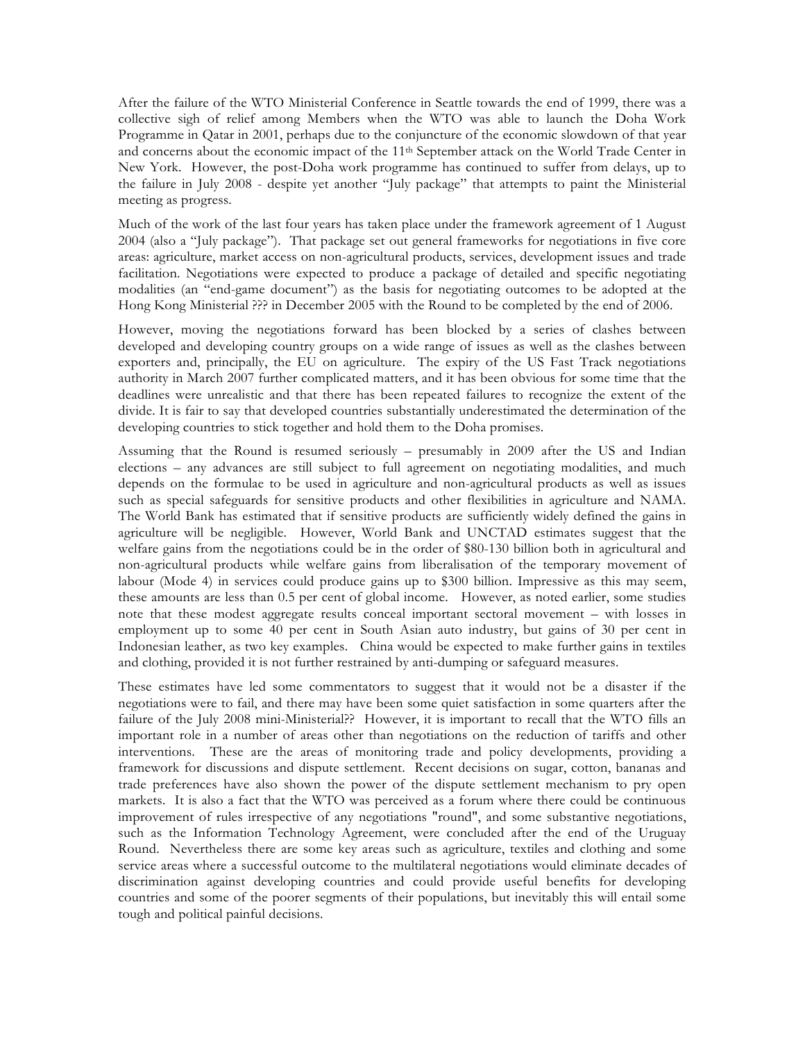After the failure of the WTO Ministerial Conference in Seattle towards the end of 1999, there was a collective sigh of relief among Members when the WTO was able to launch the Doha Work Programme in Qatar in 2001, perhaps due to the conjuncture of the economic slowdown of that year and concerns about the economic impact of the 11th September attack on the World Trade Center in New York. However, the post-Doha work programme has continued to suffer from delays, up to the failure in July 2008 - despite yet another "July package" that attempts to paint the Ministerial meeting as progress.

Much of the work of the last four years has taken place under the framework agreement of 1 August 2004 (also a "July package"). That package set out general frameworks for negotiations in five core areas: agriculture, market access on non-agricultural products, services, development issues and trade facilitation. Negotiations were expected to produce a package of detailed and specific negotiating modalities (an "end-game document") as the basis for negotiating outcomes to be adopted at the Hong Kong Ministerial ??? in December 2005 with the Round to be completed by the end of 2006.

However, moving the negotiations forward has been blocked by a series of clashes between developed and developing country groups on a wide range of issues as well as the clashes between exporters and, principally, the EU on agriculture. The expiry of the US Fast Track negotiations authority in March 2007 further complicated matters, and it has been obvious for some time that the deadlines were unrealistic and that there has been repeated failures to recognize the extent of the divide. It is fair to say that developed countries substantially underestimated the determination of the developing countries to stick together and hold them to the Doha promises.

Assuming that the Round is resumed seriously – presumably in 2009 after the US and Indian elections – any advances are still subject to full agreement on negotiating modalities, and much depends on the formulae to be used in agriculture and non-agricultural products as well as issues such as special safeguards for sensitive products and other flexibilities in agriculture and NAMA. The World Bank has estimated that if sensitive products are sufficiently widely defined the gains in agriculture will be negligible. However, World Bank and UNCTAD estimates suggest that the welfare gains from the negotiations could be in the order of \$80-130 billion both in agricultural and non-agricultural products while welfare gains from liberalisation of the temporary movement of labour (Mode 4) in services could produce gains up to \$300 billion. Impressive as this may seem, these amounts are less than 0.5 per cent of global income. However, as noted earlier, some studies note that these modest aggregate results conceal important sectoral movement – with losses in employment up to some 40 per cent in South Asian auto industry, but gains of 30 per cent in Indonesian leather, as two key examples. China would be expected to make further gains in textiles and clothing, provided it is not further restrained by anti-dumping or safeguard measures.

These estimates have led some commentators to suggest that it would not be a disaster if the negotiations were to fail, and there may have been some quiet satisfaction in some quarters after the failure of the July 2008 mini-Ministerial?? However, it is important to recall that the WTO fills an important role in a number of areas other than negotiations on the reduction of tariffs and other interventions. These are the areas of monitoring trade and policy developments, providing a framework for discussions and dispute settlement. Recent decisions on sugar, cotton, bananas and trade preferences have also shown the power of the dispute settlement mechanism to pry open markets. It is also a fact that the WTO was perceived as a forum where there could be continuous improvement of rules irrespective of any negotiations "round", and some substantive negotiations, such as the Information Technology Agreement, were concluded after the end of the Uruguay Round. Nevertheless there are some key areas such as agriculture, textiles and clothing and some service areas where a successful outcome to the multilateral negotiations would eliminate decades of discrimination against developing countries and could provide useful benefits for developing countries and some of the poorer segments of their populations, but inevitably this will entail some tough and political painful decisions.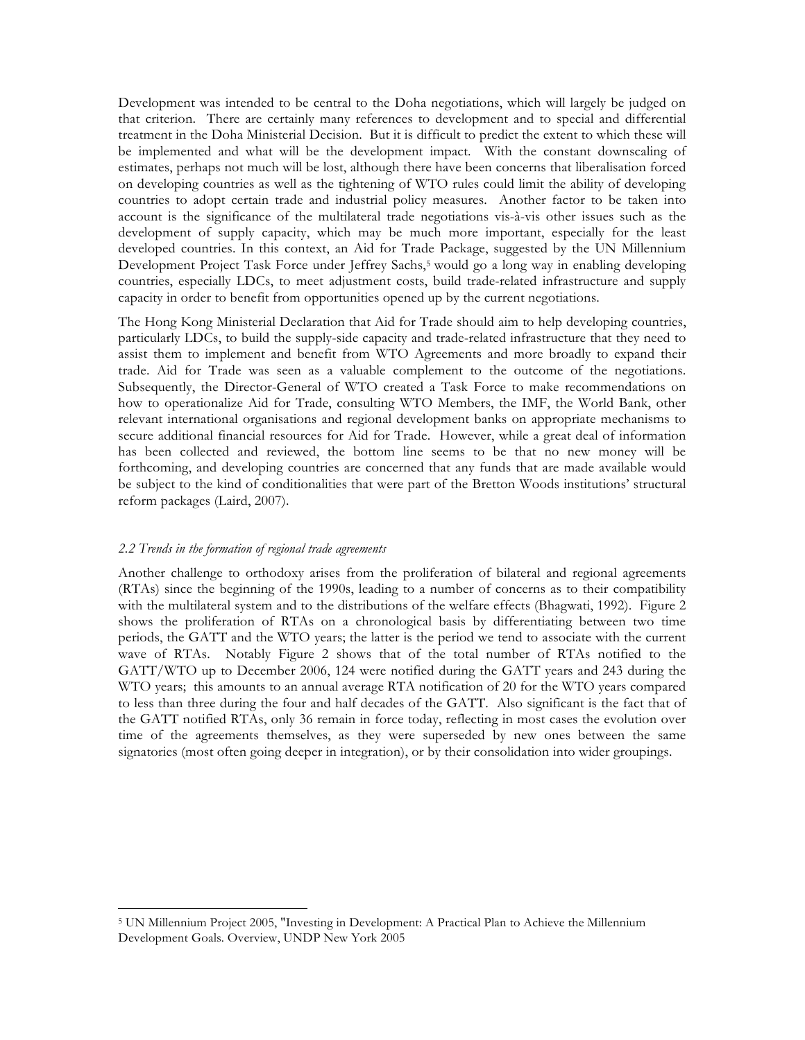Development was intended to be central to the Doha negotiations, which will largely be judged on that criterion. There are certainly many references to development and to special and differential treatment in the Doha Ministerial Decision. But it is difficult to predict the extent to which these will be implemented and what will be the development impact. With the constant downscaling of estimates, perhaps not much will be lost, although there have been concerns that liberalisation forced on developing countries as well as the tightening of WTO rules could limit the ability of developing countries to adopt certain trade and industrial policy measures. Another factor to be taken into account is the significance of the multilateral trade negotiations vis-à-vis other issues such as the development of supply capacity, which may be much more important, especially for the least developed countries. In this context, an Aid for Trade Package, suggested by the UN Millennium Development Project Task Force under Jeffrey Sachs,5 would go a long way in enabling developing countries, especially LDCs, to meet adjustment costs, build trade-related infrastructure and supply capacity in order to benefit from opportunities opened up by the current negotiations.

The Hong Kong Ministerial Declaration that Aid for Trade should aim to help developing countries, particularly LDCs, to build the supply-side capacity and trade-related infrastructure that they need to assist them to implement and benefit from WTO Agreements and more broadly to expand their trade. Aid for Trade was seen as a valuable complement to the outcome of the negotiations. Subsequently, the Director-General of WTO created a Task Force to make recommendations on how to operationalize Aid for Trade, consulting WTO Members, the IMF, the World Bank, other relevant international organisations and regional development banks on appropriate mechanisms to secure additional financial resources for Aid for Trade. However, while a great deal of information has been collected and reviewed, the bottom line seems to be that no new money will be forthcoming, and developing countries are concerned that any funds that are made available would be subject to the kind of conditionalities that were part of the Bretton Woods institutions' structural reform packages (Laird, 2007).

#### *2.2 Trends in the formation of regional trade agreements*

 $\overline{a}$ 

Another challenge to orthodoxy arises from the proliferation of bilateral and regional agreements (RTAs) since the beginning of the 1990s, leading to a number of concerns as to their compatibility with the multilateral system and to the distributions of the welfare effects (Bhagwati, 1992). Figure 2 shows the proliferation of RTAs on a chronological basis by differentiating between two time periods, the GATT and the WTO years; the latter is the period we tend to associate with the current wave of RTAs. Notably Figure 2 shows that of the total number of RTAs notified to the GATT/WTO up to December 2006, 124 were notified during the GATT years and 243 during the WTO years; this amounts to an annual average RTA notification of 20 for the WTO years compared to less than three during the four and half decades of the GATT. Also significant is the fact that of the GATT notified RTAs, only 36 remain in force today, reflecting in most cases the evolution over time of the agreements themselves, as they were superseded by new ones between the same signatories (most often going deeper in integration), or by their consolidation into wider groupings.

<sup>5</sup> UN Millennium Project 2005, "Investing in Development: A Practical Plan to Achieve the Millennium Development Goals. Overview, UNDP New York 2005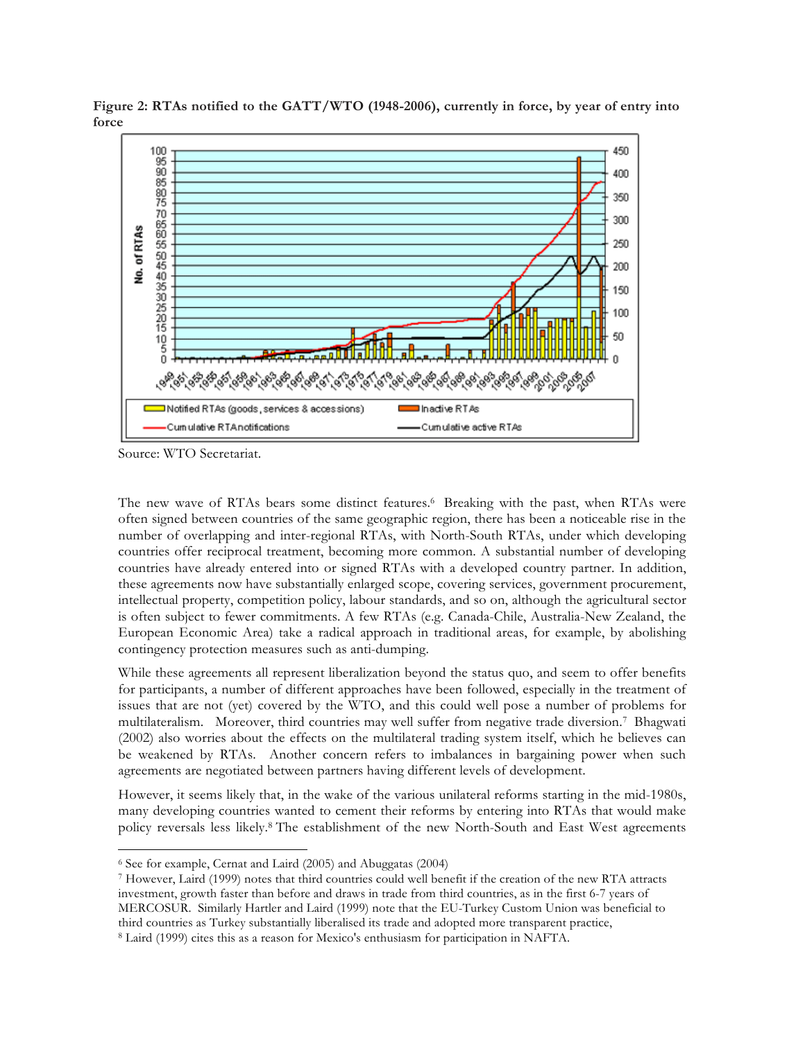

**Figure 2: RTAs notified to the GATT/WTO (1948-2006), currently in force, by year of entry into force** 

Source: WTO Secretariat.

 $\overline{a}$ 

The new wave of RTAs bears some distinct features.6 Breaking with the past, when RTAs were often signed between countries of the same geographic region, there has been a noticeable rise in the number of overlapping and inter-regional RTAs, with North-South RTAs, under which developing countries offer reciprocal treatment, becoming more common. A substantial number of developing countries have already entered into or signed RTAs with a developed country partner. In addition, these agreements now have substantially enlarged scope, covering services, government procurement, intellectual property, competition policy, labour standards, and so on, although the agricultural sector is often subject to fewer commitments. A few RTAs (e.g. Canada-Chile, Australia-New Zealand, the European Economic Area) take a radical approach in traditional areas, for example, by abolishing contingency protection measures such as anti-dumping.

While these agreements all represent liberalization beyond the status quo, and seem to offer benefits for participants, a number of different approaches have been followed, especially in the treatment of issues that are not (yet) covered by the WTO, and this could well pose a number of problems for multilateralism. Moreover, third countries may well suffer from negative trade diversion.7 Bhagwati (2002) also worries about the effects on the multilateral trading system itself, which he believes can be weakened by RTAs. Another concern refers to imbalances in bargaining power when such agreements are negotiated between partners having different levels of development.

However, it seems likely that, in the wake of the various unilateral reforms starting in the mid-1980s, many developing countries wanted to cement their reforms by entering into RTAs that would make policy reversals less likely.8 The establishment of the new North-South and East West agreements

<sup>6</sup> See for example, Cernat and Laird (2005) and Abuggatas (2004)

<sup>7</sup> However, Laird (1999) notes that third countries could well benefit if the creation of the new RTA attracts investment, growth faster than before and draws in trade from third countries, as in the first 6-7 years of MERCOSUR. Similarly Hartler and Laird (1999) note that the EU-Turkey Custom Union was beneficial to third countries as Turkey substantially liberalised its trade and adopted more transparent practice, <sup>8</sup> Laird (1999) cites this as a reason for Mexico's enthusiasm for participation in NAFTA.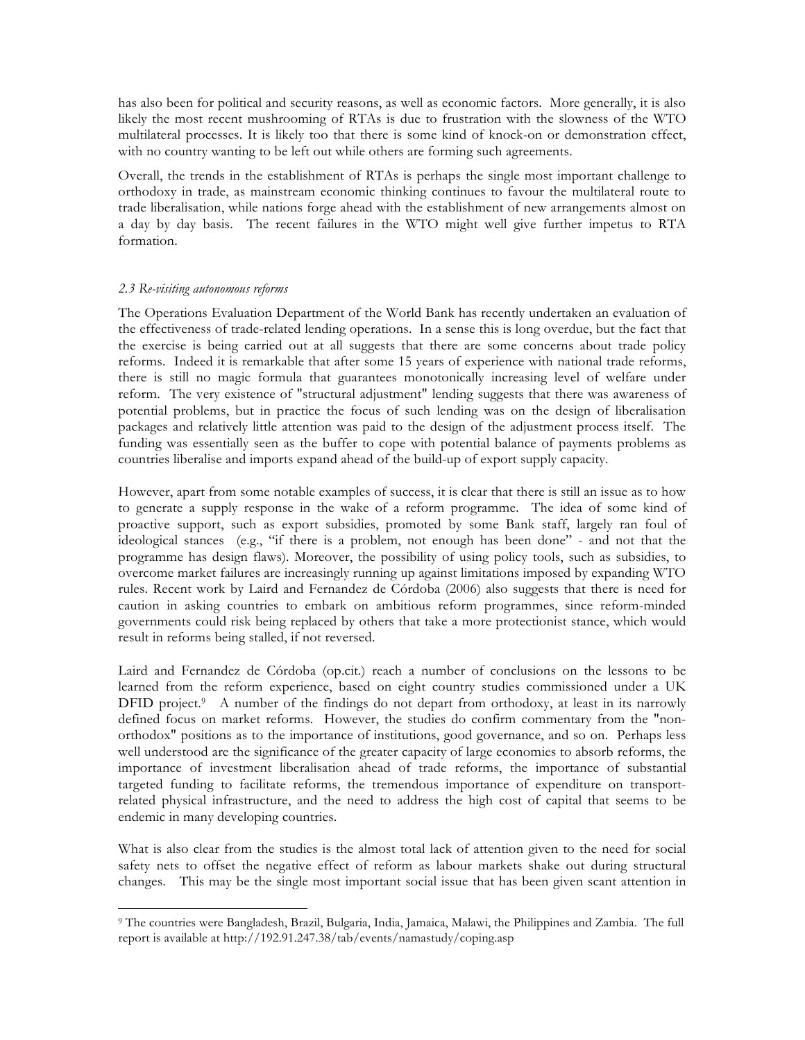has also been for political and security reasons, as well as economic factors. More generally, it is also likely the most recent mushrooming of RTAs is due to frustration with the slowness of the WTO multilateral processes. It is likely too that there is some kind of knock-on or demonstration effect, with no country wanting to be left out while others are forming such agreements.

Overall, the trends in the establishment of RTAs is perhaps the single most important challenge to orthodoxy in trade, as mainstream economic thinking continues to favour the multilateral route to trade liberalisation, while nations forge ahead with the establishment of new arrangements almost on a day by day basis. The recent failures in the WTO might well give further impetus to RTA formation.

## *2.3 Re-visiting autonomous reforms*

 $\overline{a}$ 

The Operations Evaluation Department of the World Bank has recently undertaken an evaluation of the effectiveness of trade-related lending operations. In a sense this is long overdue, but the fact that the exercise is being carried out at all suggests that there are some concerns about trade policy reforms. Indeed it is remarkable that after some 15 years of experience with national trade reforms, there is still no magic formula that guarantees monotonically increasing level of welfare under reform. The very existence of "structural adjustment" lending suggests that there was awareness of potential problems, but in practice the focus of such lending was on the design of liberalisation packages and relatively little attention was paid to the design of the adjustment process itself. The funding was essentially seen as the buffer to cope with potential balance of payments problems as countries liberalise and imports expand ahead of the build-up of export supply capacity.

However, apart from some notable examples of success, it is clear that there is still an issue as to how to generate a supply response in the wake of a reform programme. The idea of some kind of proactive support, such as export subsidies, promoted by some Bank staff, largely ran foul of ideological stances (e.g., "if there is a problem, not enough has been done" - and not that the programme has design flaws). Moreover, the possibility of using policy tools, such as subsidies, to overcome market failures are increasingly running up against limitations imposed by expanding WTO rules. Recent work by Laird and Fernandez de Córdoba (2006) also suggests that there is need for caution in asking countries to embark on ambitious reform programmes, since reform-minded governments could risk being replaced by others that take a more protectionist stance, which would result in reforms being stalled, if not reversed.

Laird and Fernandez de Córdoba (op.cit.) reach a number of conclusions on the lessons to be learned from the reform experience, based on eight country studies commissioned under a UK DFID project.<sup>9</sup> A number of the findings do not depart from orthodoxy, at least in its narrowly defined focus on market reforms. However, the studies do confirm commentary from the "nonorthodox" positions as to the importance of institutions, good governance, and so on. Perhaps less well understood are the significance of the greater capacity of large economies to absorb reforms, the importance of investment liberalisation ahead of trade reforms, the importance of substantial targeted funding to facilitate reforms, the tremendous importance of expenditure on transportrelated physical infrastructure, and the need to address the high cost of capital that seems to be endemic in many developing countries.

What is also clear from the studies is the almost total lack of attention given to the need for social safety nets to offset the negative effect of reform as labour markets shake out during structural changes. This may be the single most important social issue that has been given scant attention in

<sup>9</sup> The countries were Bangladesh, Brazil, Bulgaria, India, Jamaica, Malawi, the Philippines and Zambia. The full report is available at http://192.91.247.38/tab/events/namastudy/coping.asp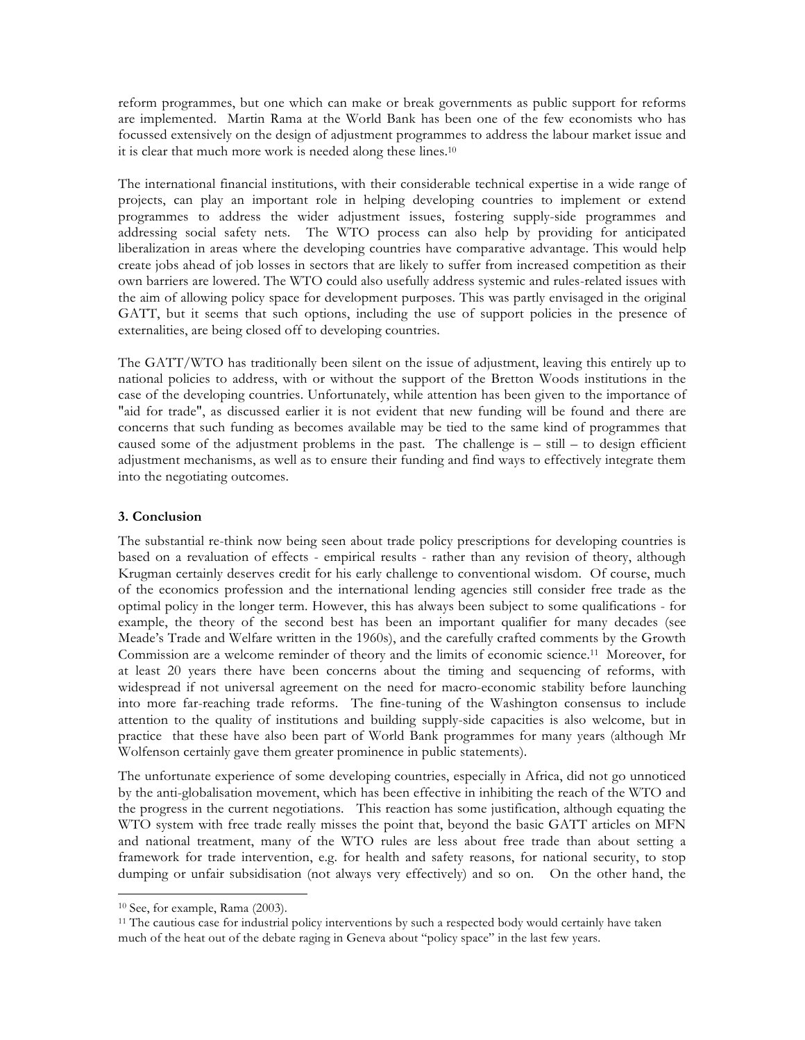reform programmes, but one which can make or break governments as public support for reforms are implemented. Martin Rama at the World Bank has been one of the few economists who has focussed extensively on the design of adjustment programmes to address the labour market issue and it is clear that much more work is needed along these lines.10

The international financial institutions, with their considerable technical expertise in a wide range of projects, can play an important role in helping developing countries to implement or extend programmes to address the wider adjustment issues, fostering supply-side programmes and addressing social safety nets. The WTO process can also help by providing for anticipated liberalization in areas where the developing countries have comparative advantage. This would help create jobs ahead of job losses in sectors that are likely to suffer from increased competition as their own barriers are lowered. The WTO could also usefully address systemic and rules-related issues with the aim of allowing policy space for development purposes. This was partly envisaged in the original GATT, but it seems that such options, including the use of support policies in the presence of externalities, are being closed off to developing countries.

The GATT/WTO has traditionally been silent on the issue of adjustment, leaving this entirely up to national policies to address, with or without the support of the Bretton Woods institutions in the case of the developing countries. Unfortunately, while attention has been given to the importance of "aid for trade", as discussed earlier it is not evident that new funding will be found and there are concerns that such funding as becomes available may be tied to the same kind of programmes that caused some of the adjustment problems in the past. The challenge is – still – to design efficient adjustment mechanisms, as well as to ensure their funding and find ways to effectively integrate them into the negotiating outcomes.

# **3. Conclusion**

The substantial re-think now being seen about trade policy prescriptions for developing countries is based on a revaluation of effects - empirical results - rather than any revision of theory, although Krugman certainly deserves credit for his early challenge to conventional wisdom. Of course, much of the economics profession and the international lending agencies still consider free trade as the optimal policy in the longer term. However, this has always been subject to some qualifications - for example, the theory of the second best has been an important qualifier for many decades (see Meade's Trade and Welfare written in the 1960s), and the carefully crafted comments by the Growth Commission are a welcome reminder of theory and the limits of economic science.11 Moreover, for at least 20 years there have been concerns about the timing and sequencing of reforms, with widespread if not universal agreement on the need for macro-economic stability before launching into more far-reaching trade reforms. The fine-tuning of the Washington consensus to include attention to the quality of institutions and building supply-side capacities is also welcome, but in practice that these have also been part of World Bank programmes for many years (although Mr Wolfenson certainly gave them greater prominence in public statements).

The unfortunate experience of some developing countries, especially in Africa, did not go unnoticed by the anti-globalisation movement, which has been effective in inhibiting the reach of the WTO and the progress in the current negotiations. This reaction has some justification, although equating the WTO system with free trade really misses the point that, beyond the basic GATT articles on MFN and national treatment, many of the WTO rules are less about free trade than about setting a framework for trade intervention, e.g. for health and safety reasons, for national security, to stop dumping or unfair subsidisation (not always very effectively) and so on. On the other hand, the

 $\overline{a}$ 

<sup>10</sup> See, for example, Rama (2003).

<sup>11</sup> The cautious case for industrial policy interventions by such a respected body would certainly have taken much of the heat out of the debate raging in Geneva about "policy space" in the last few years.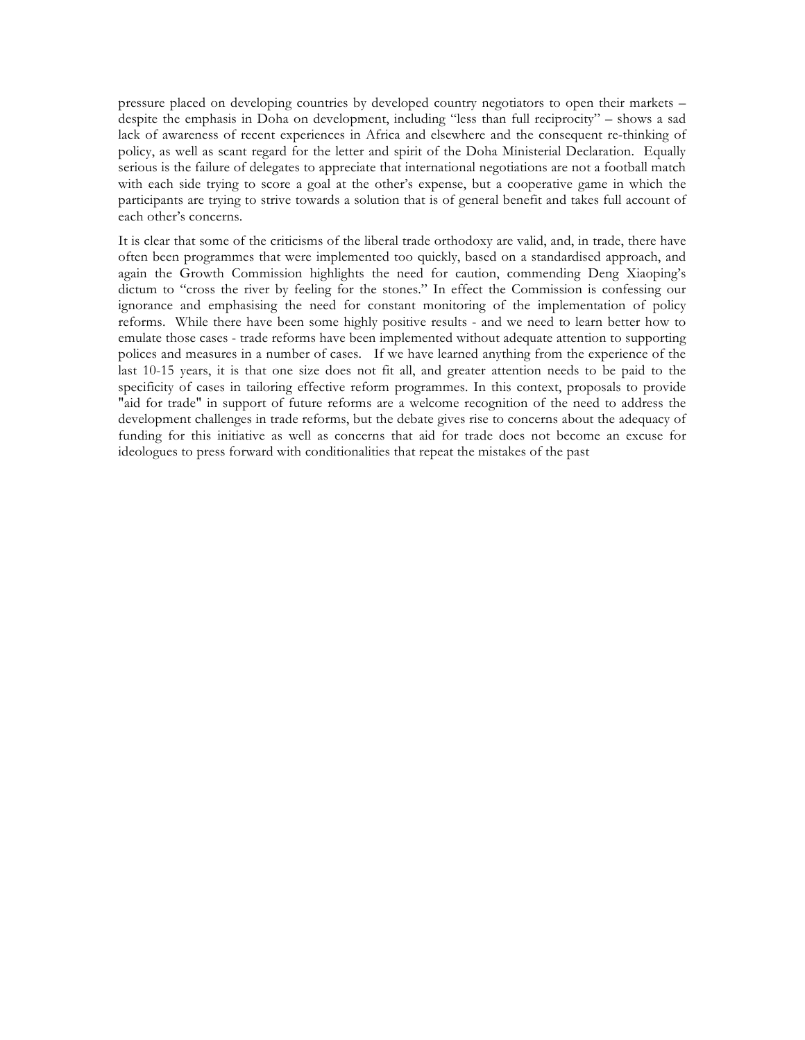pressure placed on developing countries by developed country negotiators to open their markets – despite the emphasis in Doha on development, including "less than full reciprocity" – shows a sad lack of awareness of recent experiences in Africa and elsewhere and the consequent re-thinking of policy, as well as scant regard for the letter and spirit of the Doha Ministerial Declaration. Equally serious is the failure of delegates to appreciate that international negotiations are not a football match with each side trying to score a goal at the other's expense, but a cooperative game in which the participants are trying to strive towards a solution that is of general benefit and takes full account of each other's concerns.

It is clear that some of the criticisms of the liberal trade orthodoxy are valid, and, in trade, there have often been programmes that were implemented too quickly, based on a standardised approach, and again the Growth Commission highlights the need for caution, commending Deng Xiaoping's dictum to "cross the river by feeling for the stones." In effect the Commission is confessing our ignorance and emphasising the need for constant monitoring of the implementation of policy reforms. While there have been some highly positive results - and we need to learn better how to emulate those cases - trade reforms have been implemented without adequate attention to supporting polices and measures in a number of cases. If we have learned anything from the experience of the last 10-15 years, it is that one size does not fit all, and greater attention needs to be paid to the specificity of cases in tailoring effective reform programmes. In this context, proposals to provide "aid for trade" in support of future reforms are a welcome recognition of the need to address the development challenges in trade reforms, but the debate gives rise to concerns about the adequacy of funding for this initiative as well as concerns that aid for trade does not become an excuse for ideologues to press forward with conditionalities that repeat the mistakes of the past